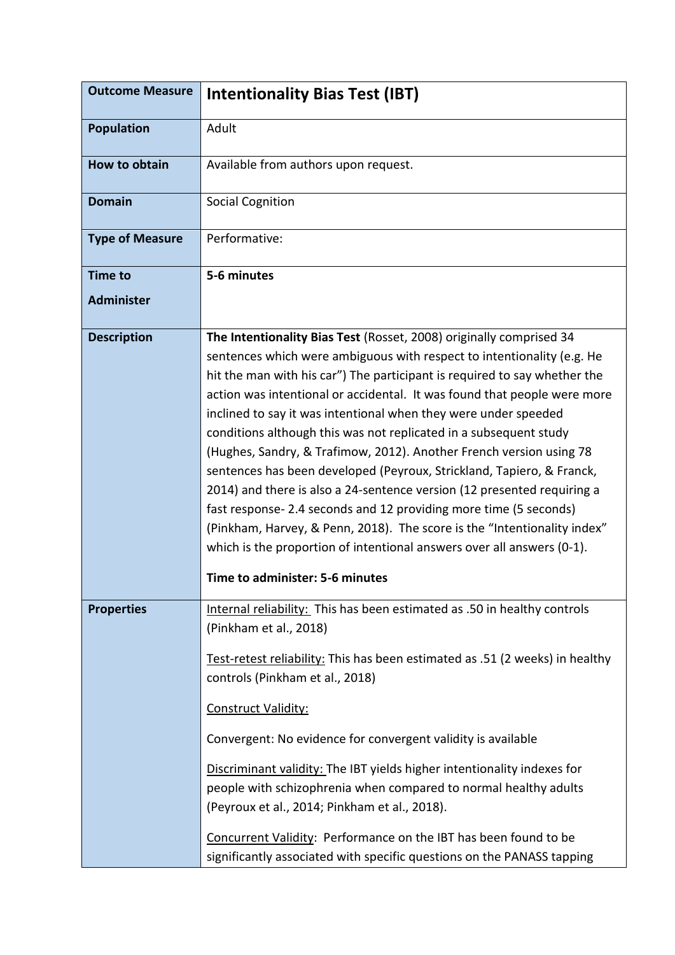| <b>Outcome Measure</b> | <b>Intentionality Bias Test (IBT)</b>                                                                                                                                                                                                                                                                                                                                                                                                                                                                                                                                                                                                                                                                                                                                                                                                                                                                                                   |
|------------------------|-----------------------------------------------------------------------------------------------------------------------------------------------------------------------------------------------------------------------------------------------------------------------------------------------------------------------------------------------------------------------------------------------------------------------------------------------------------------------------------------------------------------------------------------------------------------------------------------------------------------------------------------------------------------------------------------------------------------------------------------------------------------------------------------------------------------------------------------------------------------------------------------------------------------------------------------|
| <b>Population</b>      | Adult                                                                                                                                                                                                                                                                                                                                                                                                                                                                                                                                                                                                                                                                                                                                                                                                                                                                                                                                   |
| How to obtain          | Available from authors upon request.                                                                                                                                                                                                                                                                                                                                                                                                                                                                                                                                                                                                                                                                                                                                                                                                                                                                                                    |
| <b>Domain</b>          | <b>Social Cognition</b>                                                                                                                                                                                                                                                                                                                                                                                                                                                                                                                                                                                                                                                                                                                                                                                                                                                                                                                 |
| <b>Type of Measure</b> | Performative:                                                                                                                                                                                                                                                                                                                                                                                                                                                                                                                                                                                                                                                                                                                                                                                                                                                                                                                           |
| <b>Time to</b>         | 5-6 minutes                                                                                                                                                                                                                                                                                                                                                                                                                                                                                                                                                                                                                                                                                                                                                                                                                                                                                                                             |
| <b>Administer</b>      |                                                                                                                                                                                                                                                                                                                                                                                                                                                                                                                                                                                                                                                                                                                                                                                                                                                                                                                                         |
| <b>Description</b>     | The Intentionality Bias Test (Rosset, 2008) originally comprised 34<br>sentences which were ambiguous with respect to intentionality (e.g. He<br>hit the man with his car") The participant is required to say whether the<br>action was intentional or accidental. It was found that people were more<br>inclined to say it was intentional when they were under speeded<br>conditions although this was not replicated in a subsequent study<br>(Hughes, Sandry, & Trafimow, 2012). Another French version using 78<br>sentences has been developed (Peyroux, Strickland, Tapiero, & Franck,<br>2014) and there is also a 24-sentence version (12 presented requiring a<br>fast response- 2.4 seconds and 12 providing more time (5 seconds)<br>(Pinkham, Harvey, & Penn, 2018). The score is the "Intentionality index"<br>which is the proportion of intentional answers over all answers (0-1).<br>Time to administer: 5-6 minutes |
| <b>Properties</b>      | Internal reliability: This has been estimated as .50 in healthy controls<br>(Pinkham et al., 2018)<br>Test-retest reliability: This has been estimated as .51 (2 weeks) in healthy<br>controls (Pinkham et al., 2018)<br>Construct Validity:<br>Convergent: No evidence for convergent validity is available<br>Discriminant validity: The IBT yields higher intentionality indexes for<br>people with schizophrenia when compared to normal healthy adults<br>(Peyroux et al., 2014; Pinkham et al., 2018).                                                                                                                                                                                                                                                                                                                                                                                                                            |
|                        | Concurrent Validity: Performance on the IBT has been found to be<br>significantly associated with specific questions on the PANASS tapping                                                                                                                                                                                                                                                                                                                                                                                                                                                                                                                                                                                                                                                                                                                                                                                              |